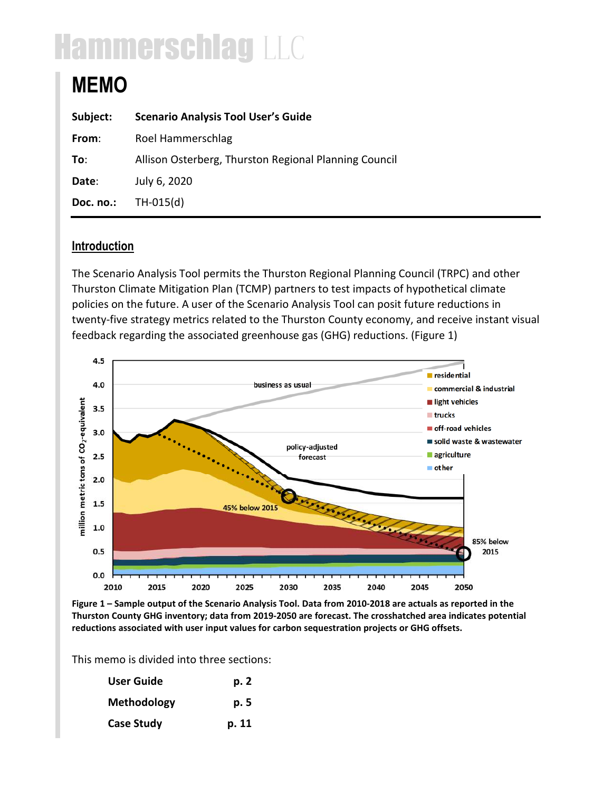# Hammerschlag LLC

# **MEMO**

| Subject:  | <b>Scenario Analysis Tool User's Guide</b>            |
|-----------|-------------------------------------------------------|
| From:     | Roel Hammerschlag                                     |
| To:       | Allison Osterberg, Thurston Regional Planning Council |
| Date:     | July 6, 2020                                          |
| Doc. no.: | $TH-015(d)$                                           |

# **Introduction**

The Scenario Analysis Tool permits the Thurston Regional Planning Council (TRPC) and other Thurston Climate Mitigation Plan (TCMP) partners to test impacts of hypothetical climate policies on the future. A user of the Scenario Analysis Tool can posit future reductions in twenty-five strategy metrics related to the Thurston County economy, and receive instant visual feedback regarding the associated greenhouse gas (GHG) reductions. (Figure 1)



**Figure 1 – Sample output of the Scenario Analysis Tool. Data from 2010-2018 are actuals as reported in the Thurston County GHG inventory; data from 2019-2050 are forecast. The crosshatched area indicates potential reductions associated with user input values for carbon sequestration projects or GHG offsets.** 

This memo is divided into three sections:

| <b>User Guide</b> | p. 2  |
|-------------------|-------|
| Methodology       | p. 5  |
| <b>Case Study</b> | p. 11 |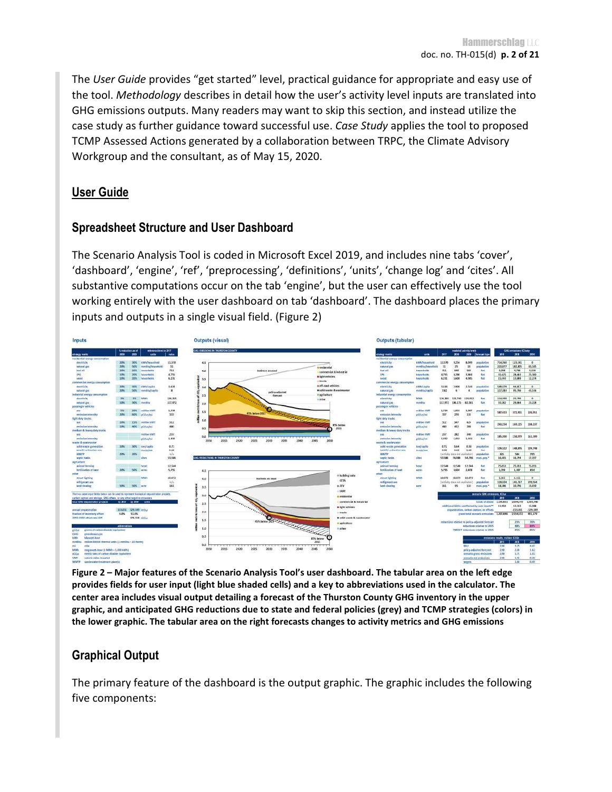The *User Guide* provides "get started" level, practical guidance for appropriate and easy use of the tool. *Methodology* describes in detail how the user's activity level inputs are translated into GHG emissions outputs. Many readers may want to skip this section, and instead utilize the case study as further guidance toward successful use. *Case Study* applies the tool to proposed TCMP Assessed Actions generated by a collaboration between TRPC, the Climate Advisory Workgroup and the consultant, as of May 15, 2020.

### **User Guide**

#### **Spreadsheet Structure and User Dashboard**

The Scenario Analysis Tool is coded in Microsoft Excel 2019, and includes nine tabs 'cover', 'dashboard', 'engine', 'ref', 'preprocessing', 'definitions', 'units', 'change log' and 'cites'. All substantive computations occur on the tab 'engine', but the user can effectively use the tool working entirely with the user dashboard on tab 'dashboard'. The dashboard places the primary inputs and outputs in a single visual field. (Figure 2)



**Figure 2 – Major features of the Scenario Analysis Tool's user dashboard. The tabular area on the left edge provides fields for user input (light blue shaded cells) and a key to abbreviations used in the calculator. The center area includes visual output detailing a forecast of the Thurston County GHG inventory in the upper graphic, and anticipated GHG reductions due to state and federal policies (grey) and TCMP strategies (colors) in the lower graphic. The tabular area on the right forecasts changes to activity metrics and GHG emissions** 

# **Graphical Output**

The primary feature of the dashboard is the output graphic. The graphic includes the following five components: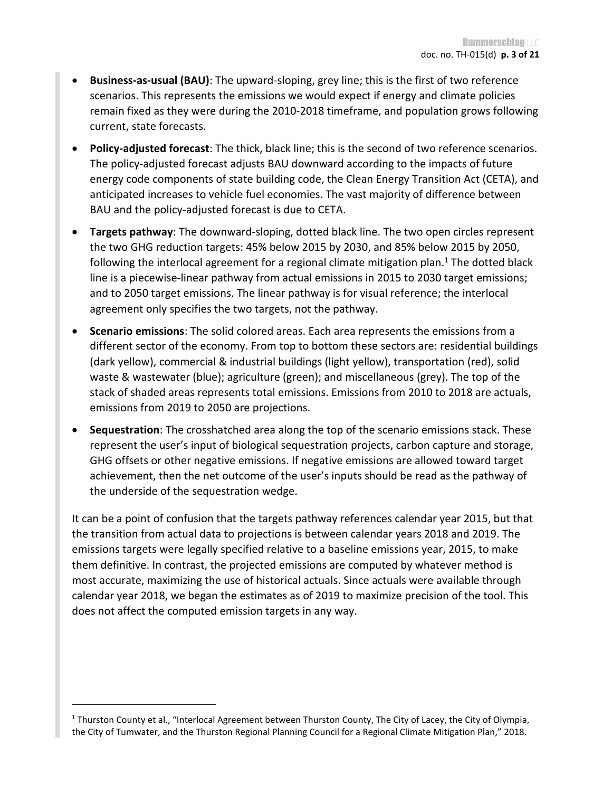- **Business-as-usual (BAU)**: The upward-sloping, grey line; this is the first of two reference scenarios. This represents the emissions we would expect if energy and climate policies remain fixed as they were during the 2010-2018 timeframe, and population grows following current, state forecasts.
- **Policy-adjusted forecast**: The thick, black line; this is the second of two reference scenarios. The policy-adjusted forecast adjusts BAU downward according to the impacts of future energy code components of state building code, the Clean Energy Transition Act (CETA), and anticipated increases to vehicle fuel economies. The vast majority of difference between BAU and the policy-adjusted forecast is due to CETA.
- **Targets pathway**: The downward-sloping, dotted black line. The two open circles represent the two GHG reduction targets: 45% below 2015 by 2030, and 85% below 2015 by 2050, following the interlocal agreement for a regional climate mitigation plan. $1$  The dotted black line is a piecewise-linear pathway from actual emissions in 2015 to 2030 target emissions; and to 2050 target emissions. The linear pathway is for visual reference; the interlocal agreement only specifies the two targets, not the pathway.
- **Scenario emissions**: The solid colored areas. Each area represents the emissions from a different sector of the economy. From top to bottom these sectors are: residential buildings (dark yellow), commercial & industrial buildings (light yellow), transportation (red), solid waste & wastewater (blue); agriculture (green); and miscellaneous (grey). The top of the stack of shaded areas represents total emissions. Emissions from 2010 to 2018 are actuals, emissions from 2019 to 2050 are projections.
- **Sequestration**: The crosshatched area along the top of the scenario emissions stack. These represent the user's input of biological sequestration projects, carbon capture and storage, GHG offsets or other negative emissions. If negative emissions are allowed toward target achievement, then the net outcome of the user's inputs should be read as the pathway of the underside of the sequestration wedge.

It can be a point of confusion that the targets pathway references calendar year 2015, but that the transition from actual data to projections is between calendar years 2018 and 2019. The emissions targets were legally specified relative to a baseline emissions year, 2015, to make them definitive. In contrast, the projected emissions are computed by whatever method is most accurate, maximizing the use of historical actuals. Since actuals were available through calendar year 2018, we began the estimates as of 2019 to maximize precision of the tool. This does not affect the computed emission targets in any way.

<sup>&</sup>lt;sup>1</sup> Thurston County et al., "Interlocal Agreement between Thurston County, The City of Lacey, the City of Olympia, the City of Tumwater, and the Thurston Regional Planning Council for a Regional Climate Mitigation Plan," 2018.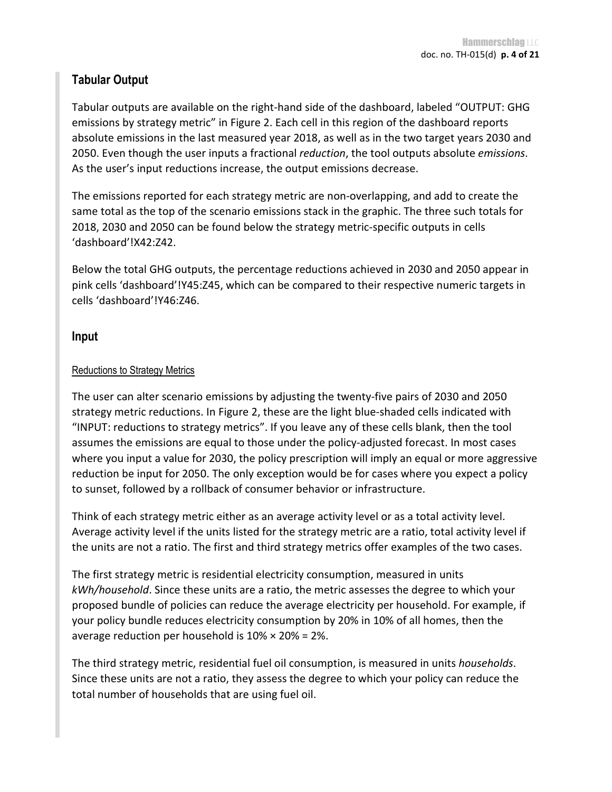### **Tabular Output**

Tabular outputs are available on the right-hand side of the dashboard, labeled "OUTPUT: GHG emissions by strategy metric" in Figure 2. Each cell in this region of the dashboard reports absolute emissions in the last measured year 2018, as well as in the two target years 2030 and 2050. Even though the user inputs a fractional *reduction*, the tool outputs absolute *emissions*. As the user's input reductions increase, the output emissions decrease.

The emissions reported for each strategy metric are non-overlapping, and add to create the same total as the top of the scenario emissions stack in the graphic. The three such totals for 2018, 2030 and 2050 can be found below the strategy metric-specific outputs in cells 'dashboard'!X42:Z42.

Below the total GHG outputs, the percentage reductions achieved in 2030 and 2050 appear in pink cells 'dashboard'!Y45:Z45, which can be compared to their respective numeric targets in cells 'dashboard'!Y46:Z46.

#### **Input**

#### Reductions to Strategy Metrics

The user can alter scenario emissions by adjusting the twenty-five pairs of 2030 and 2050 strategy metric reductions. In Figure 2, these are the light blue-shaded cells indicated with "INPUT: reductions to strategy metrics". If you leave any of these cells blank, then the tool assumes the emissions are equal to those under the policy-adjusted forecast. In most cases where you input a value for 2030, the policy prescription will imply an equal or more aggressive reduction be input for 2050. The only exception would be for cases where you expect a policy to sunset, followed by a rollback of consumer behavior or infrastructure.

Think of each strategy metric either as an average activity level or as a total activity level. Average activity level if the units listed for the strategy metric are a ratio, total activity level if the units are not a ratio. The first and third strategy metrics offer examples of the two cases.

The first strategy metric is residential electricity consumption, measured in units *kWh/household*. Since these units are a ratio, the metric assesses the degree to which your proposed bundle of policies can reduce the average electricity per household. For example, if your policy bundle reduces electricity consumption by 20% in 10% of all homes, then the average reduction per household is  $10\% \times 20\% = 2\%.$ 

The third strategy metric, residential fuel oil consumption, is measured in units *households*. Since these units are not a ratio, they assess the degree to which your policy can reduce the total number of households that are using fuel oil.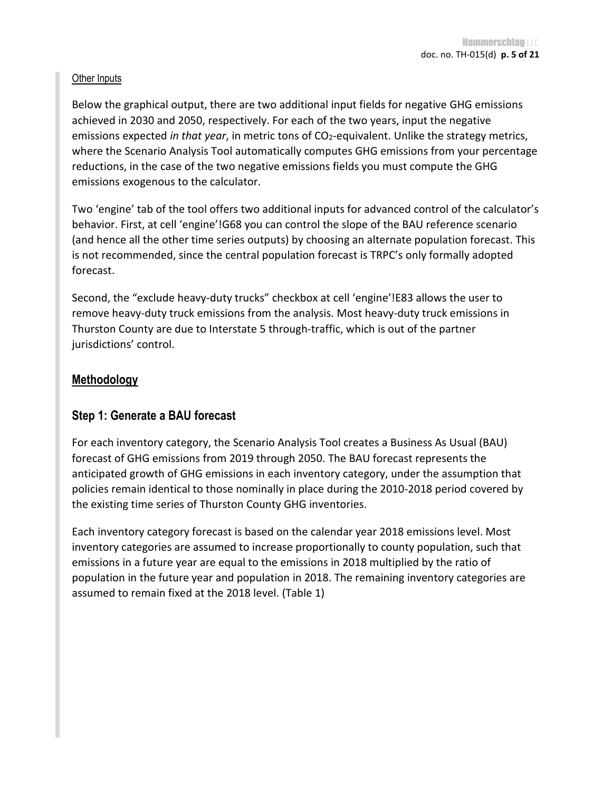#### **Other Inputs**

Below the graphical output, there are two additional input fields for negative GHG emissions achieved in 2030 and 2050, respectively. For each of the two years, input the negative emissions expected *in that year*, in metric tons of CO<sub>2</sub>-equivalent. Unlike the strategy metrics, where the Scenario Analysis Tool automatically computes GHG emissions from your percentage reductions, in the case of the two negative emissions fields you must compute the GHG emissions exogenous to the calculator.

Two 'engine' tab of the tool offers two additional inputs for advanced control of the calculator's behavior. First, at cell 'engine'!G68 you can control the slope of the BAU reference scenario (and hence all the other time series outputs) by choosing an alternate population forecast. This is not recommended, since the central population forecast is TRPC's only formally adopted forecast.

Second, the "exclude heavy-duty trucks" checkbox at cell 'engine'!E83 allows the user to remove heavy-duty truck emissions from the analysis. Most heavy-duty truck emissions in Thurston County are due to Interstate 5 through-traffic, which is out of the partner jurisdictions' control.

#### **Methodology**

#### **Step 1: Generate a BAU forecast**

For each inventory category, the Scenario Analysis Tool creates a Business As Usual (BAU) forecast of GHG emissions from 2019 through 2050. The BAU forecast represents the anticipated growth of GHG emissions in each inventory category, under the assumption that policies remain identical to those nominally in place during the 2010-2018 period covered by the existing time series of Thurston County GHG inventories.

Each inventory category forecast is based on the calendar year 2018 emissions level. Most inventory categories are assumed to increase proportionally to county population, such that emissions in a future year are equal to the emissions in 2018 multiplied by the ratio of population in the future year and population in 2018. The remaining inventory categories are assumed to remain fixed at the 2018 level. (Table 1)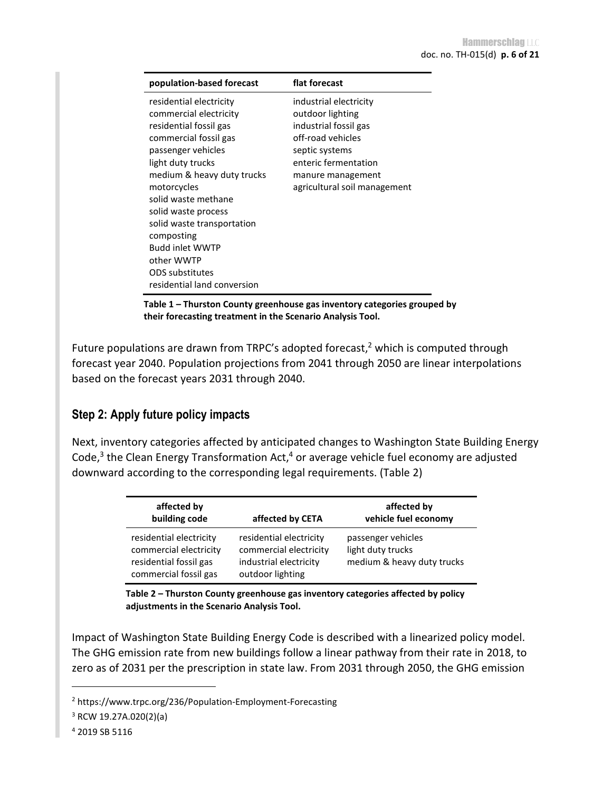| population-based forecast   | flat forecast                |
|-----------------------------|------------------------------|
| residential electricity     | industrial electricity       |
| commercial electricity      | outdoor lighting             |
| residential fossil gas      | industrial fossil gas        |
| commercial fossil gas       | off-road vehicles            |
| passenger vehicles          | septic systems               |
| light duty trucks           | enteric fermentation         |
| medium & heavy duty trucks  | manure management            |
| motorcycles                 | agricultural soil management |
| solid waste methane         |                              |
| solid waste process         |                              |
| solid waste transportation  |                              |
| composting                  |                              |
| <b>Budd inlet WWTP</b>      |                              |
| other WWTP                  |                              |
| ODS substitutes             |                              |
| residential land conversion |                              |

**Table 1 – Thurston County greenhouse gas inventory categories grouped by their forecasting treatment in the Scenario Analysis Tool.** 

Future populations are drawn from TRPC's adopted forecast,<sup>2</sup> which is computed through forecast year 2040. Population projections from 2041 through 2050 are linear interpolations based on the forecast years 2031 through 2040.

# **Step 2: Apply future policy impacts**

Next, inventory categories affected by anticipated changes to Washington State Building Energy Code,<sup>3</sup> the Clean Energy Transformation Act,<sup>4</sup> or average vehicle fuel economy are adjusted downward according to the corresponding legal requirements. (Table 2)

| affected by<br>building code                                                                         | affected by CETA                                                                                | affected by<br>vehicle fuel economy                                   |
|------------------------------------------------------------------------------------------------------|-------------------------------------------------------------------------------------------------|-----------------------------------------------------------------------|
| residential electricity<br>commercial electricity<br>residential fossil gas<br>commercial fossil gas | residential electricity<br>commercial electricity<br>industrial electricity<br>outdoor lighting | passenger vehicles<br>light duty trucks<br>medium & heavy duty trucks |

**Table 2 – Thurston County greenhouse gas inventory categories affected by policy adjustments in the Scenario Analysis Tool.** 

Impact of Washington State Building Energy Code is described with a linearized policy model. The GHG emission rate from new buildings follow a linear pathway from their rate in 2018, to zero as of 2031 per the prescription in state law. From 2031 through 2050, the GHG emission

<sup>2</sup> https://www.trpc.org/236/Population-Employment-Forecasting

<sup>3</sup> RCW 19.27A.020(2)(a)

<sup>4</sup> 2019 SB 5116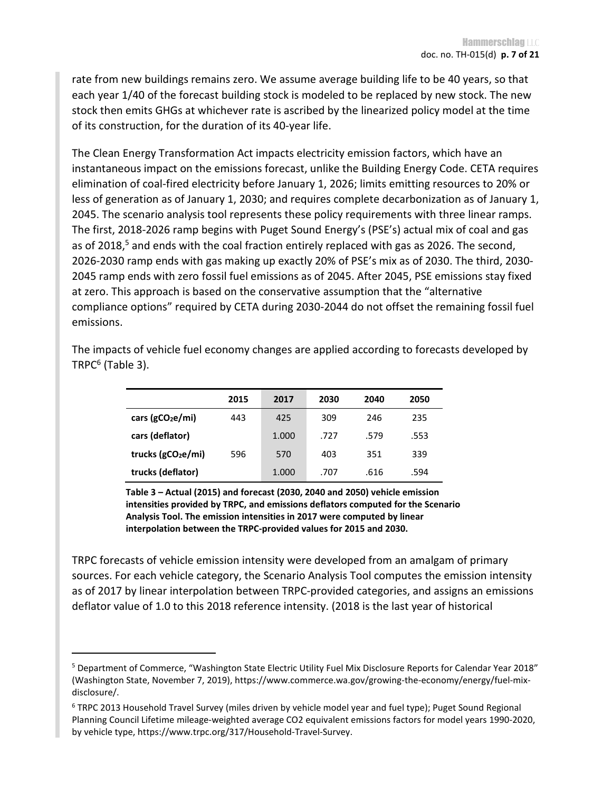rate from new buildings remains zero. We assume average building life to be 40 years, so that each year 1/40 of the forecast building stock is modeled to be replaced by new stock. The new stock then emits GHGs at whichever rate is ascribed by the linearized policy model at the time of its construction, for the duration of its 40-year life.

The Clean Energy Transformation Act impacts electricity emission factors, which have an instantaneous impact on the emissions forecast, unlike the Building Energy Code. CETA requires elimination of coal-fired electricity before January 1, 2026; limits emitting resources to 20% or less of generation as of January 1, 2030; and requires complete decarbonization as of January 1, 2045. The scenario analysis tool represents these policy requirements with three linear ramps. The first, 2018-2026 ramp begins with Puget Sound Energy's (PSE's) actual mix of coal and gas as of 2018,<sup>5</sup> and ends with the coal fraction entirely replaced with gas as 2026. The second, 2026-2030 ramp ends with gas making up exactly 20% of PSE's mix as of 2030. The third, 2030- 2045 ramp ends with zero fossil fuel emissions as of 2045. After 2045, PSE emissions stay fixed at zero. This approach is based on the conservative assumption that the "alternative compliance options" required by CETA during 2030-2044 do not offset the remaining fossil fuel emissions.

|                                | 2015 | 2017  | 2030 | 2040 | 2050 |
|--------------------------------|------|-------|------|------|------|
| cars ( $gCO2e/mi$ )            | 443  | 425   | 309  | 246  | 235  |
| cars (deflator)                |      | 1.000 | .727 | .579 | .553 |
| trucks (gCO <sub>2</sub> e/mi) | 596  | 570   | 403  | 351  | 339  |
| trucks (deflator)              |      | 1.000 | .707 | .616 | .594 |

The impacts of vehicle fuel economy changes are applied according to forecasts developed by TRPC<sup>6</sup> (Table 3).

> **Table 3 – Actual (2015) and forecast (2030, 2040 and 2050) vehicle emission intensities provided by TRPC, and emissions deflators computed for the Scenario Analysis Tool. The emission intensities in 2017 were computed by linear interpolation between the TRPC-provided values for 2015 and 2030.**

TRPC forecasts of vehicle emission intensity were developed from an amalgam of primary sources. For each vehicle category, the Scenario Analysis Tool computes the emission intensity as of 2017 by linear interpolation between TRPC-provided categories, and assigns an emissions deflator value of 1.0 to this 2018 reference intensity. (2018 is the last year of historical

<sup>&</sup>lt;sup>5</sup> Department of Commerce, "Washington State Electric Utility Fuel Mix Disclosure Reports for Calendar Year 2018" (Washington State, November 7, 2019), https://www.commerce.wa.gov/growing-the-economy/energy/fuel-mixdisclosure/.

<sup>&</sup>lt;sup>6</sup> TRPC 2013 Household Travel Survey (miles driven by vehicle model year and fuel type); Puget Sound Regional Planning Council Lifetime mileage-weighted average CO2 equivalent emissions factors for model years 1990-2020, by vehicle type, https://www.trpc.org/317/Household-Travel-Survey.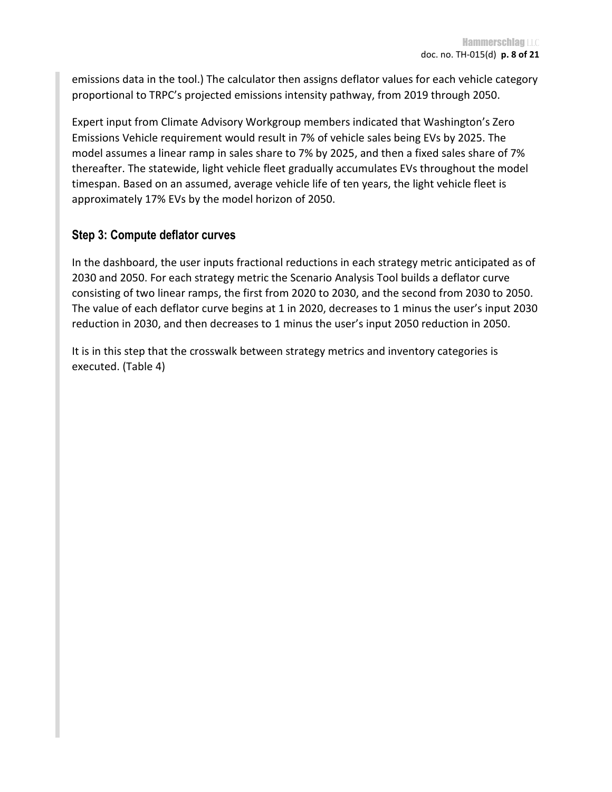emissions data in the tool.) The calculator then assigns deflator values for each vehicle category proportional to TRPC's projected emissions intensity pathway, from 2019 through 2050.

Expert input from Climate Advisory Workgroup members indicated that Washington's Zero Emissions Vehicle requirement would result in 7% of vehicle sales being EVs by 2025. The model assumes a linear ramp in sales share to 7% by 2025, and then a fixed sales share of 7% thereafter. The statewide, light vehicle fleet gradually accumulates EVs throughout the model timespan. Based on an assumed, average vehicle life of ten years, the light vehicle fleet is approximately 17% EVs by the model horizon of 2050.

#### **Step 3: Compute deflator curves**

In the dashboard, the user inputs fractional reductions in each strategy metric anticipated as of 2030 and 2050. For each strategy metric the Scenario Analysis Tool builds a deflator curve consisting of two linear ramps, the first from 2020 to 2030, and the second from 2030 to 2050. The value of each deflator curve begins at 1 in 2020, decreases to 1 minus the user's input 2030 reduction in 2030, and then decreases to 1 minus the user's input 2050 reduction in 2050.

It is in this step that the crosswalk between strategy metrics and inventory categories is executed. (Table 4)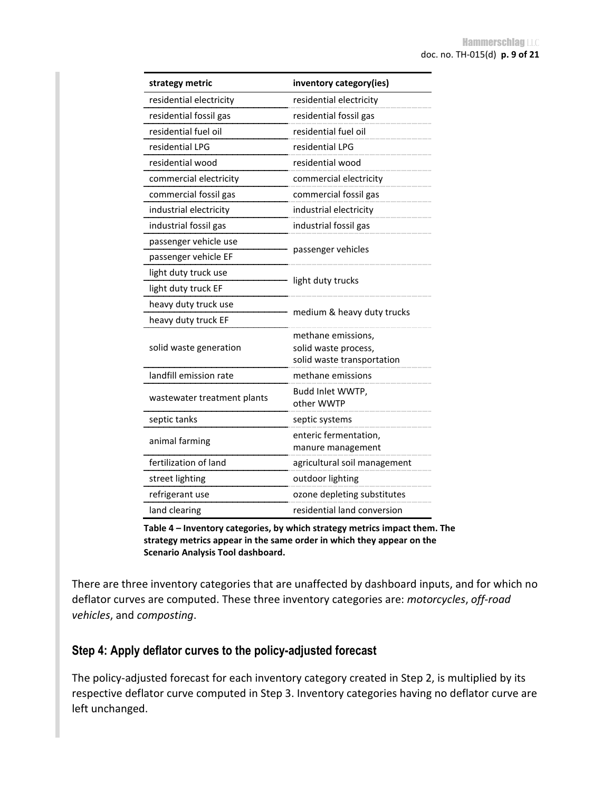| strategy metric             | inventory category(ies)        |  |
|-----------------------------|--------------------------------|--|
| residential electricity     | residential electricity        |  |
| residential fossil gas      | residential fossil gas         |  |
| residential fuel oil        | residential fuel oil           |  |
| residential LPG             | residential LPG                |  |
| residential wood            | residential wood               |  |
| commercial electricity      | commercial electricity         |  |
| commercial fossil gas       | commercial fossil gas          |  |
| industrial electricity      | industrial electricity         |  |
| industrial fossil gas       | industrial fossil gas          |  |
| passenger vehicle use       |                                |  |
| passenger vehicle EF        | passenger vehicles             |  |
| light duty truck use        |                                |  |
| light duty truck EF         | light duty trucks              |  |
| heavy duty truck use        |                                |  |
| heavy duty truck EF         | medium & heavy duty trucks     |  |
|                             | methane emissions.             |  |
| solid waste generation      | solid waste process,           |  |
|                             | solid waste transportation     |  |
| landfill emission rate      | methane emissions              |  |
| wastewater treatment plants | Budd Inlet WWTP,<br>other WWTP |  |
| septic tanks                | septic systems                 |  |
| animal farming              | enteric fermentation,          |  |
|                             | manure management              |  |
| fertilization of land       | agricultural soil management   |  |
| street lighting             | outdoor lighting               |  |
| refrigerant use             | ozone depleting substitutes    |  |
| land clearing               | residential land conversion    |  |

**Table 4 – Inventory categories, by which strategy metrics impact them. The strategy metrics appear in the same order in which they appear on the Scenario Analysis Tool dashboard.** 

There are three inventory categories that are unaffected by dashboard inputs, and for which no deflator curves are computed. These three inventory categories are: *motorcycles*, *off-road vehicles*, and *composting*.

#### **Step 4: Apply deflator curves to the policy-adjusted forecast**

The policy-adjusted forecast for each inventory category created in Step 2, is multiplied by its respective deflator curve computed in Step 3. Inventory categories having no deflator curve are left unchanged.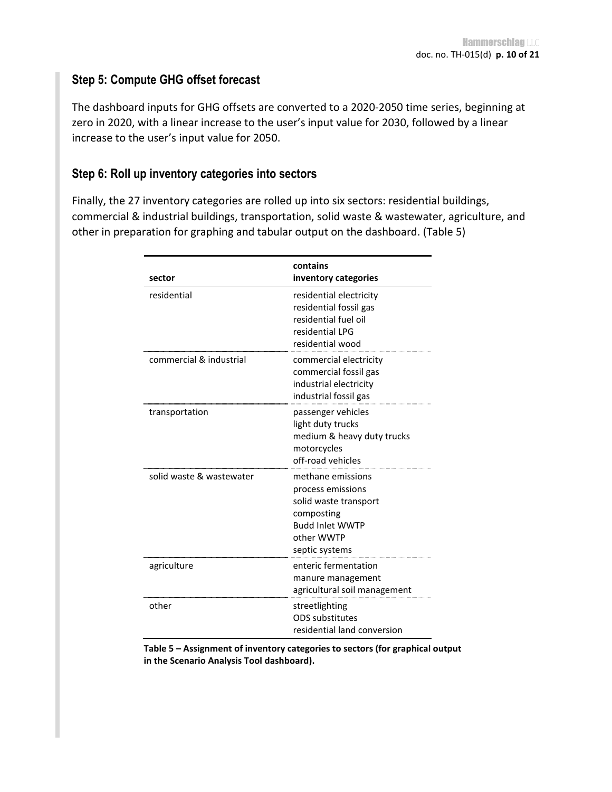#### **Step 5: Compute GHG offset forecast**

The dashboard inputs for GHG offsets are converted to a 2020-2050 time series, beginning at zero in 2020, with a linear increase to the user's input value for 2030, followed by a linear increase to the user's input value for 2050.

#### **Step 6: Roll up inventory categories into sectors**

Finally, the 27 inventory categories are rolled up into six sectors: residential buildings, commercial & industrial buildings, transportation, solid waste & wastewater, agriculture, and other in preparation for graphing and tabular output on the dashboard. (Table 5)

| sector                   | contains<br>inventory categories                                                                                                        |
|--------------------------|-----------------------------------------------------------------------------------------------------------------------------------------|
| residential              | residential electricity<br>residential fossil gas<br>residential fuel oil<br>residential I PG<br>residential wood                       |
| commercial & industrial  | commercial electricity<br>commercial fossil gas<br>industrial electricity<br>industrial fossil gas                                      |
| transportation           | passenger vehicles<br>light duty trucks<br>medium & heavy duty trucks<br>motorcycles<br>off-road vehicles                               |
| solid waste & wastewater | methane emissions<br>process emissions<br>solid waste transport<br>composting<br><b>Budd Inlet WWTP</b><br>other WWTP<br>septic systems |
| agriculture              | enteric fermentation<br>manure management<br>agricultural soil management                                                               |
| other                    | streetlighting<br><b>ODS</b> substitutes<br>residential land conversion                                                                 |

**Table 5 – Assignment of inventory categories to sectors (for graphical output in the Scenario Analysis Tool dashboard).**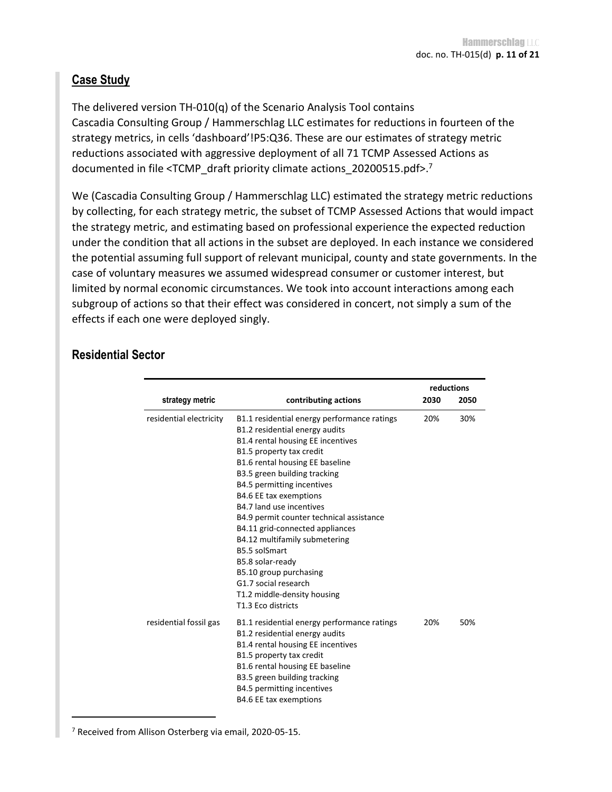### **Case Study**

The delivered version TH-010(q) of the Scenario Analysis Tool contains Cascadia Consulting Group / Hammerschlag LLC estimates for reductions in fourteen of the strategy metrics, in cells 'dashboard'!P5:Q36. These are our estimates of strategy metric reductions associated with aggressive deployment of all 71 TCMP Assessed Actions as documented in file <TCMP\_draft priority climate actions\_20200515.pdf>.<sup>7</sup>

We (Cascadia Consulting Group / Hammerschlag LLC) estimated the strategy metric reductions by collecting, for each strategy metric, the subset of TCMP Assessed Actions that would impact the strategy metric, and estimating based on professional experience the expected reduction under the condition that all actions in the subset are deployed. In each instance we considered the potential assuming full support of relevant municipal, county and state governments. In the case of voluntary measures we assumed widespread consumer or customer interest, but limited by normal economic circumstances. We took into account interactions among each subgroup of actions so that their effect was considered in concert, not simply a sum of the effects if each one were deployed singly.

|                         |                                                                                                                                                                                                                                                                                                                                                                                                                                                                                                                                                                   |      | reductions |
|-------------------------|-------------------------------------------------------------------------------------------------------------------------------------------------------------------------------------------------------------------------------------------------------------------------------------------------------------------------------------------------------------------------------------------------------------------------------------------------------------------------------------------------------------------------------------------------------------------|------|------------|
| strategy metric         | contributing actions                                                                                                                                                                                                                                                                                                                                                                                                                                                                                                                                              | 2030 | 2050       |
| residential electricity | B1.1 residential energy performance ratings<br>B1.2 residential energy audits<br>B1.4 rental housing EE incentives<br>B1.5 property tax credit<br>B1.6 rental housing EE baseline<br>B3.5 green building tracking<br>B4.5 permitting incentives<br>B4.6 EE tax exemptions<br>B4.7 land use incentives<br>B4.9 permit counter technical assistance<br>B4.11 grid-connected appliances<br>B4.12 multifamily submetering<br>B5.5 solSmart<br>B5.8 solar-ready<br>B5.10 group purchasing<br>G1.7 social research<br>T1.2 middle-density housing<br>T1.3 Eco districts | 20%  | 30%        |
| residential fossil gas  | B1.1 residential energy performance ratings<br>B1.2 residential energy audits<br>B1.4 rental housing EE incentives<br>B1.5 property tax credit<br>B1.6 rental housing EE baseline<br>B3.5 green building tracking<br>B4.5 permitting incentives<br>B4.6 EE tax exemptions                                                                                                                                                                                                                                                                                         | 20%  | 50%        |

# **Residential Sector**

7 Received from Allison Osterberg via email, 2020-05-15.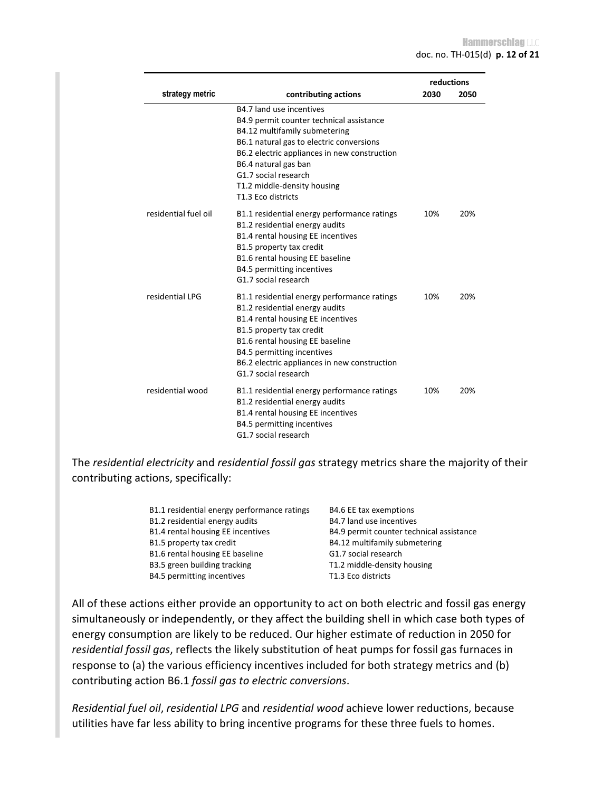|                      |                                                                                                                                                                                                                                                                                                        |      | reductions |
|----------------------|--------------------------------------------------------------------------------------------------------------------------------------------------------------------------------------------------------------------------------------------------------------------------------------------------------|------|------------|
| strategy metric      | contributing actions                                                                                                                                                                                                                                                                                   | 2030 | 2050       |
|                      | B4.7 land use incentives<br>B4.9 permit counter technical assistance<br>B4.12 multifamily submetering<br>B6.1 natural gas to electric conversions<br>B6.2 electric appliances in new construction<br>B6.4 natural gas ban<br>G1.7 social research<br>T1.2 middle-density housing<br>T1.3 Eco districts |      |            |
| residential fuel oil | B1.1 residential energy performance ratings<br>B1.2 residential energy audits<br>B1.4 rental housing EE incentives<br>B1.5 property tax credit<br>B1.6 rental housing EE baseline<br>B4.5 permitting incentives<br>G1.7 social research                                                                | 10%  | 20%        |
| residential LPG      | B1.1 residential energy performance ratings<br>B1.2 residential energy audits<br>B1.4 rental housing EE incentives<br>B1.5 property tax credit<br>B1.6 rental housing EE baseline<br>B4.5 permitting incentives<br>B6.2 electric appliances in new construction<br>G1.7 social research                | 10%  | 20%        |
| residential wood     | B1.1 residential energy performance ratings<br>B1.2 residential energy audits<br>B1.4 rental housing EE incentives<br>B4.5 permitting incentives<br>G1.7 social research                                                                                                                               | 10%  | 20%        |

The *residential electricity* and *residential fossil gas* strategy metrics share the majority of their contributing actions, specifically:

| B1.1 residential energy performance ratings | B4.6 EE tax exemptions                   |
|---------------------------------------------|------------------------------------------|
| B1.2 residential energy audits              | B4.7 land use incentives                 |
| B1.4 rental housing EE incentives           | B4.9 permit counter technical assistance |
| B1.5 property tax credit                    | B4.12 multifamily submetering            |
| B1.6 rental housing EE baseline             | G1.7 social research                     |
| B3.5 green building tracking                | T1.2 middle-density housing              |
| B4.5 permitting incentives                  | T1.3 Eco districts                       |

All of these actions either provide an opportunity to act on both electric and fossil gas energy simultaneously or independently, or they affect the building shell in which case both types of energy consumption are likely to be reduced. Our higher estimate of reduction in 2050 for *residential fossil gas*, reflects the likely substitution of heat pumps for fossil gas furnaces in response to (a) the various efficiency incentives included for both strategy metrics and (b) contributing action B6.1 *fossil gas to electric conversions*.

*Residential fuel oil*, *residential LPG* and *residential wood* achieve lower reductions, because utilities have far less ability to bring incentive programs for these three fuels to homes.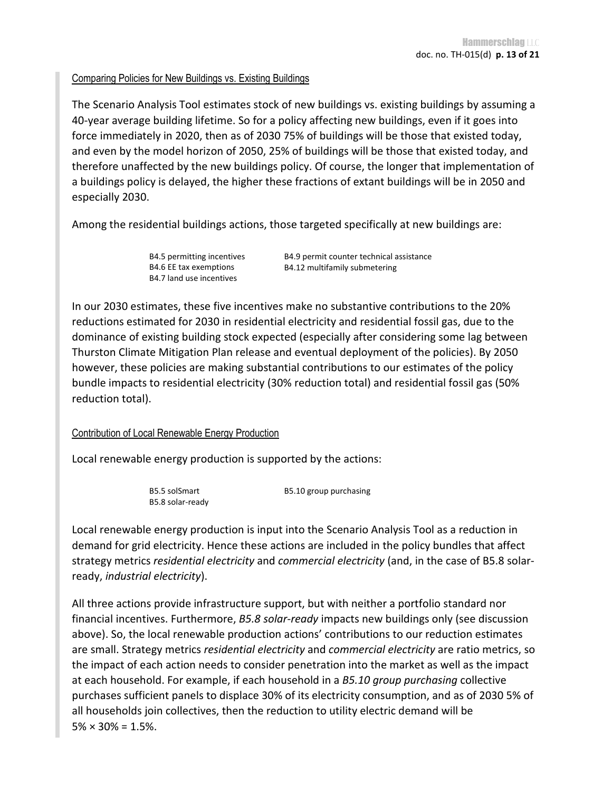#### Comparing Policies for New Buildings vs. Existing Buildings

The Scenario Analysis Tool estimates stock of new buildings vs. existing buildings by assuming a 40-year average building lifetime. So for a policy affecting new buildings, even if it goes into force immediately in 2020, then as of 2030 75% of buildings will be those that existed today, and even by the model horizon of 2050, 25% of buildings will be those that existed today, and therefore unaffected by the new buildings policy. Of course, the longer that implementation of a buildings policy is delayed, the higher these fractions of extant buildings will be in 2050 and especially 2030.

Among the residential buildings actions, those targeted specifically at new buildings are:

B4.5 permitting incentives B4.6 EE tax exemptions B4.7 land use incentives

B4.9 permit counter technical assistance B4.12 multifamily submetering

In our 2030 estimates, these five incentives make no substantive contributions to the 20% reductions estimated for 2030 in residential electricity and residential fossil gas, due to the dominance of existing building stock expected (especially after considering some lag between Thurston Climate Mitigation Plan release and eventual deployment of the policies). By 2050 however, these policies are making substantial contributions to our estimates of the policy bundle impacts to residential electricity (30% reduction total) and residential fossil gas (50% reduction total).

#### Contribution of Local Renewable Energy Production

Local renewable energy production is supported by the actions:

| B5.5 solSmart    | B5.10 group purchasing |
|------------------|------------------------|
| B5.8 solar-ready |                        |

Local renewable energy production is input into the Scenario Analysis Tool as a reduction in demand for grid electricity. Hence these actions are included in the policy bundles that affect strategy metrics *residential electricity* and *commercial electricity* (and, in the case of B5.8 solarready, *industrial electricity*).

All three actions provide infrastructure support, but with neither a portfolio standard nor financial incentives. Furthermore, *B5.8 solar-ready* impacts new buildings only (see discussion above). So, the local renewable production actions' contributions to our reduction estimates are small. Strategy metrics *residential electricity* and *commercial electricity* are ratio metrics, so the impact of each action needs to consider penetration into the market as well as the impact at each household. For example, if each household in a *B5.10 group purchasing* collective purchases sufficient panels to displace 30% of its electricity consumption, and as of 2030 5% of all households join collectives, then the reduction to utility electric demand will be  $5\% \times 30\% = 1.5\%.$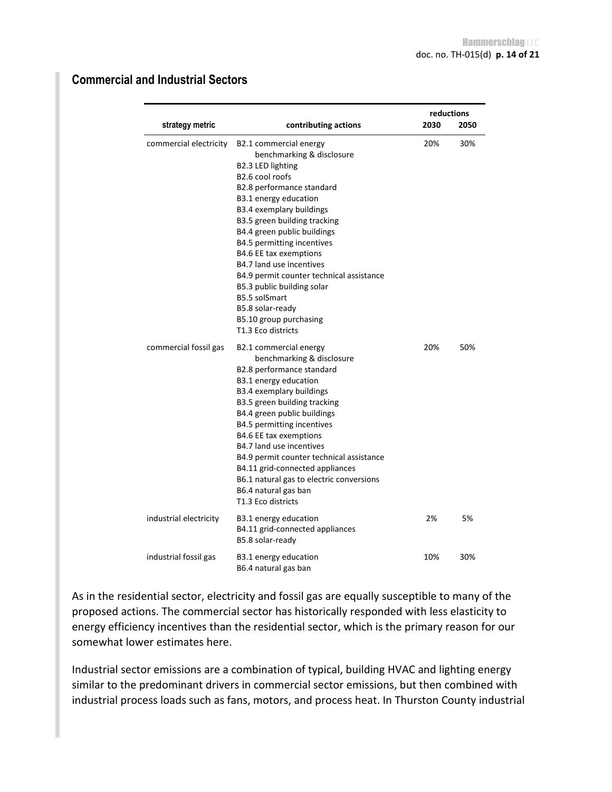|                        |                                                                                                                                                                                                                                                                                                                                                                                                                                                                                                                    |      | reductions |
|------------------------|--------------------------------------------------------------------------------------------------------------------------------------------------------------------------------------------------------------------------------------------------------------------------------------------------------------------------------------------------------------------------------------------------------------------------------------------------------------------------------------------------------------------|------|------------|
| strategy metric        | contributing actions                                                                                                                                                                                                                                                                                                                                                                                                                                                                                               | 2030 | 2050       |
| commercial electricity | B2.1 commercial energy<br>benchmarking & disclosure<br>B2.3 LED lighting<br>B <sub>2.6</sub> cool roofs<br>B2.8 performance standard<br>B3.1 energy education<br><b>B3.4 exemplary buildings</b><br>B3.5 green building tracking<br>B4.4 green public buildings<br>B4.5 permitting incentives<br>B4.6 EE tax exemptions<br>B4.7 land use incentives<br>B4.9 permit counter technical assistance<br>B5.3 public building solar<br>B5.5 solSmart<br>B5.8 solar-ready<br>B5.10 group purchasing<br>T1.3 Eco districts | 20%  | 30%        |
| commercial fossil gas  | B2.1 commercial energy<br>benchmarking & disclosure<br>B2.8 performance standard<br>B3.1 energy education<br><b>B3.4 exemplary buildings</b><br>B3.5 green building tracking<br>B4.4 green public buildings<br>B4.5 permitting incentives<br>B4.6 EE tax exemptions<br>B4.7 land use incentives<br>B4.9 permit counter technical assistance<br>B4.11 grid-connected appliances<br>B6.1 natural gas to electric conversions<br>B6.4 natural gas ban<br>T1.3 Eco districts                                           | 20%  | 50%        |
| industrial electricity | B3.1 energy education<br>B4.11 grid-connected appliances<br>B5.8 solar-ready                                                                                                                                                                                                                                                                                                                                                                                                                                       | 2%   | 5%         |
| industrial fossil gas  | B3.1 energy education<br>B6.4 natural gas ban                                                                                                                                                                                                                                                                                                                                                                                                                                                                      | 10%  | 30%        |

# **Commercial and Industrial Sectors**

As in the residential sector, electricity and fossil gas are equally susceptible to many of the proposed actions. The commercial sector has historically responded with less elasticity to energy efficiency incentives than the residential sector, which is the primary reason for our somewhat lower estimates here.

Industrial sector emissions are a combination of typical, building HVAC and lighting energy similar to the predominant drivers in commercial sector emissions, but then combined with industrial process loads such as fans, motors, and process heat. In Thurston County industrial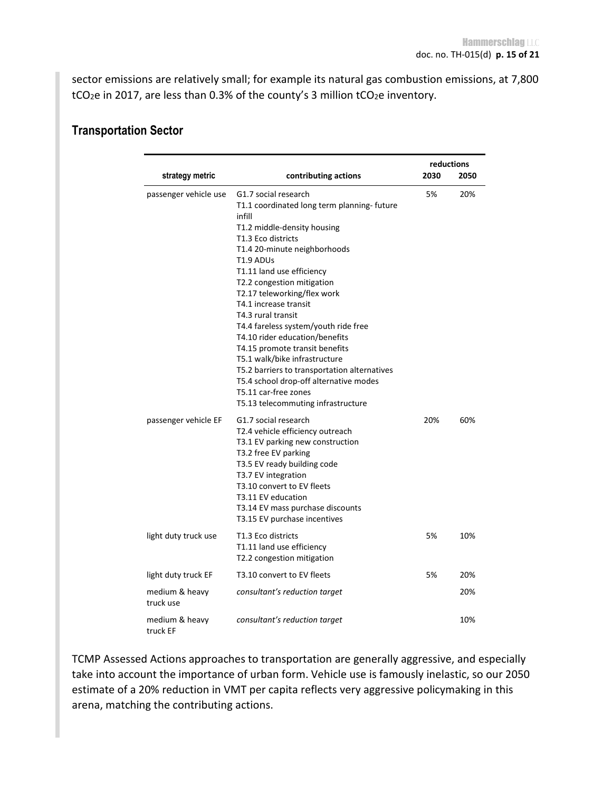sector emissions are relatively small; for example its natural gas combustion emissions, at 7,800 tCO<sub>2</sub>e in 2017, are less than 0.3% of the county's 3 million tCO<sub>2</sub>e inventory.

| strategy metric             |                                                                                                                                                                                                                                                                                                                                                                                                                                                                                                                                                                                                                               | reductions<br>2030<br>2050 |     |
|-----------------------------|-------------------------------------------------------------------------------------------------------------------------------------------------------------------------------------------------------------------------------------------------------------------------------------------------------------------------------------------------------------------------------------------------------------------------------------------------------------------------------------------------------------------------------------------------------------------------------------------------------------------------------|----------------------------|-----|
|                             | contributing actions                                                                                                                                                                                                                                                                                                                                                                                                                                                                                                                                                                                                          |                            |     |
| passenger vehicle use       | G1.7 social research<br>T1.1 coordinated long term planning- future<br>infill<br>T1.2 middle-density housing<br>T1.3 Eco districts<br>T1.4 20-minute neighborhoods<br>T1.9 ADUs<br>T1.11 land use efficiency<br>T2.2 congestion mitigation<br>T2.17 teleworking/flex work<br>T4.1 increase transit<br>T4.3 rural transit<br>T4.4 fareless system/youth ride free<br>T4.10 rider education/benefits<br>T4.15 promote transit benefits<br>T5.1 walk/bike infrastructure<br>T5.2 barriers to transportation alternatives<br>T5.4 school drop-off alternative modes<br>T5.11 car-free zones<br>T5.13 telecommuting infrastructure | 5%                         | 20% |
| passenger vehicle EF        | G1.7 social research<br>T2.4 vehicle efficiency outreach<br>T3.1 EV parking new construction<br>T3.2 free EV parking<br>T3.5 EV ready building code<br>T3.7 EV integration<br>T3.10 convert to EV fleets<br>T3.11 EV education<br>T3.14 EV mass purchase discounts<br>T3.15 EV purchase incentives                                                                                                                                                                                                                                                                                                                            | 20%                        | 60% |
| light duty truck use        | T1.3 Eco districts<br>T1.11 land use efficiency<br>T2.2 congestion mitigation                                                                                                                                                                                                                                                                                                                                                                                                                                                                                                                                                 | 5%                         | 10% |
| light duty truck EF         | T3.10 convert to EV fleets                                                                                                                                                                                                                                                                                                                                                                                                                                                                                                                                                                                                    | 5%                         | 20% |
| medium & heavy<br>truck use | consultant's reduction target                                                                                                                                                                                                                                                                                                                                                                                                                                                                                                                                                                                                 |                            | 20% |
| medium & heavy<br>truck FF  | consultant's reduction target                                                                                                                                                                                                                                                                                                                                                                                                                                                                                                                                                                                                 |                            | 10% |

#### **Transportation Sector**

TCMP Assessed Actions approaches to transportation are generally aggressive, and especially take into account the importance of urban form. Vehicle use is famously inelastic, so our 2050 estimate of a 20% reduction in VMT per capita reflects very aggressive policymaking in this arena, matching the contributing actions.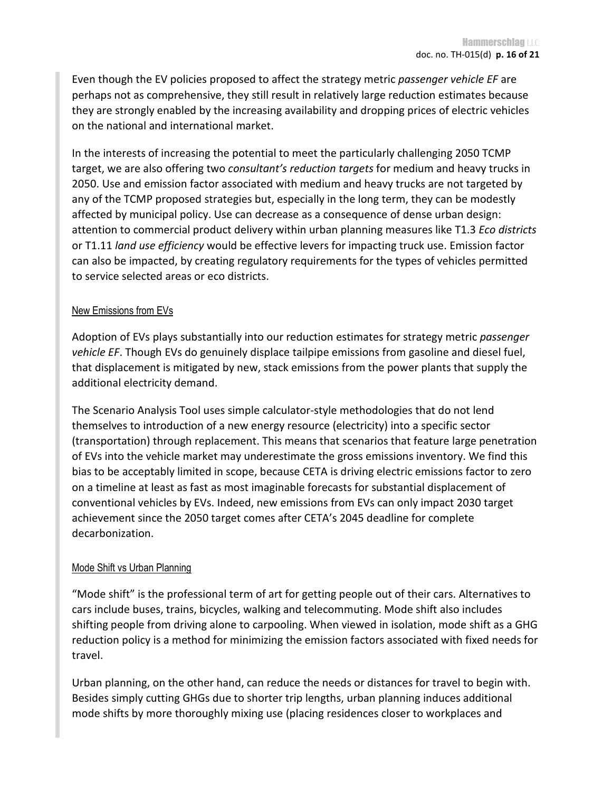Even though the EV policies proposed to affect the strategy metric *passenger vehicle EF* are perhaps not as comprehensive, they still result in relatively large reduction estimates because they are strongly enabled by the increasing availability and dropping prices of electric vehicles on the national and international market.

In the interests of increasing the potential to meet the particularly challenging 2050 TCMP target, we are also offering two *consultant's reduction targets* for medium and heavy trucks in 2050. Use and emission factor associated with medium and heavy trucks are not targeted by any of the TCMP proposed strategies but, especially in the long term, they can be modestly affected by municipal policy. Use can decrease as a consequence of dense urban design: attention to commercial product delivery within urban planning measures like T1.3 *Eco districts* or T1.11 *land use efficiency* would be effective levers for impacting truck use. Emission factor can also be impacted, by creating regulatory requirements for the types of vehicles permitted to service selected areas or eco districts.

#### New Emissions from EVs

Adoption of EVs plays substantially into our reduction estimates for strategy metric *passenger vehicle EF*. Though EVs do genuinely displace tailpipe emissions from gasoline and diesel fuel, that displacement is mitigated by new, stack emissions from the power plants that supply the additional electricity demand.

The Scenario Analysis Tool uses simple calculator-style methodologies that do not lend themselves to introduction of a new energy resource (electricity) into a specific sector (transportation) through replacement. This means that scenarios that feature large penetration of EVs into the vehicle market may underestimate the gross emissions inventory. We find this bias to be acceptably limited in scope, because CETA is driving electric emissions factor to zero on a timeline at least as fast as most imaginable forecasts for substantial displacement of conventional vehicles by EVs. Indeed, new emissions from EVs can only impact 2030 target achievement since the 2050 target comes after CETA's 2045 deadline for complete decarbonization.

#### Mode Shift vs Urban Planning

"Mode shift" is the professional term of art for getting people out of their cars. Alternatives to cars include buses, trains, bicycles, walking and telecommuting. Mode shift also includes shifting people from driving alone to carpooling. When viewed in isolation, mode shift as a GHG reduction policy is a method for minimizing the emission factors associated with fixed needs for travel.

Urban planning, on the other hand, can reduce the needs or distances for travel to begin with. Besides simply cutting GHGs due to shorter trip lengths, urban planning induces additional mode shifts by more thoroughly mixing use (placing residences closer to workplaces and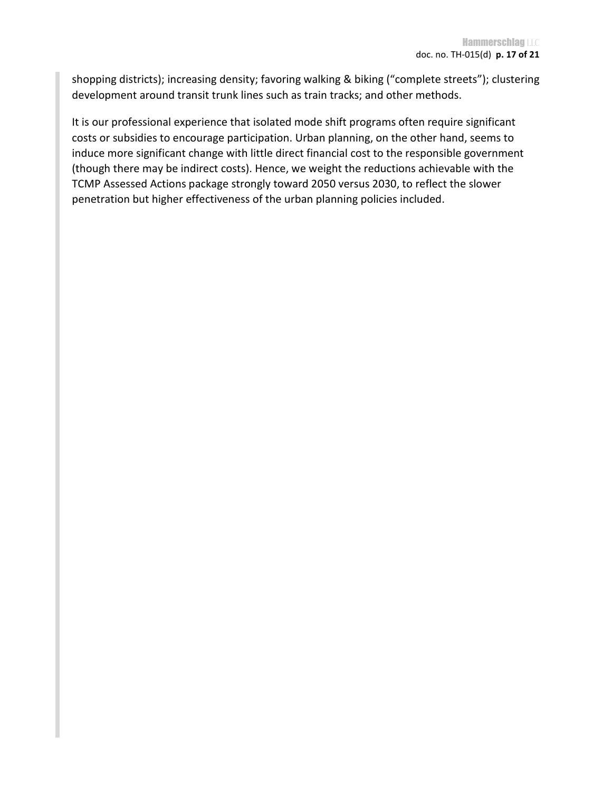shopping districts); increasing density; favoring walking & biking ("complete streets"); clustering development around transit trunk lines such as train tracks; and other methods.

It is our professional experience that isolated mode shift programs often require significant costs or subsidies to encourage participation. Urban planning, on the other hand, seems to induce more significant change with little direct financial cost to the responsible government (though there may be indirect costs). Hence, we weight the reductions achievable with the TCMP Assessed Actions package strongly toward 2050 versus 2030, to reflect the slower penetration but higher effectiveness of the urban planning policies included.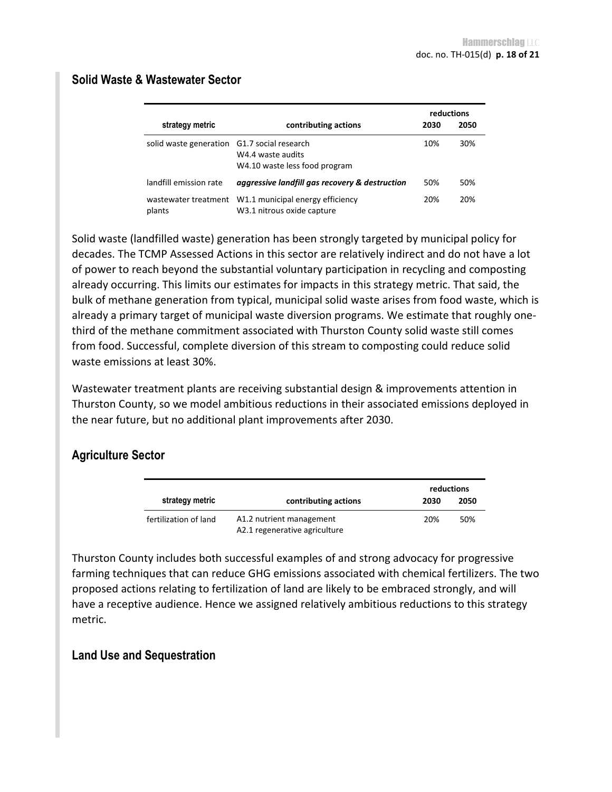|                                |                                                                            |      | reductions |
|--------------------------------|----------------------------------------------------------------------------|------|------------|
| strategy metric                | contributing actions                                                       | 2030 | 2050       |
| solid waste generation         | G1.7 social research<br>W4.4 waste audits<br>W4.10 waste less food program | 10%  | 30%        |
| landfill emission rate         | aggressive landfill gas recovery & destruction                             | 50%  | 50%        |
| wastewater treatment<br>plants | W1.1 municipal energy efficiency<br>W3.1 nitrous oxide capture             | 20%  | 20%        |

### **Solid Waste & Wastewater Sector**

Solid waste (landfilled waste) generation has been strongly targeted by municipal policy for decades. The TCMP Assessed Actions in this sector are relatively indirect and do not have a lot of power to reach beyond the substantial voluntary participation in recycling and composting already occurring. This limits our estimates for impacts in this strategy metric. That said, the bulk of methane generation from typical, municipal solid waste arises from food waste, which is already a primary target of municipal waste diversion programs. We estimate that roughly onethird of the methane commitment associated with Thurston County solid waste still comes from food. Successful, complete diversion of this stream to composting could reduce solid waste emissions at least 30%.

Wastewater treatment plants are receiving substantial design & improvements attention in Thurston County, so we model ambitious reductions in their associated emissions deployed in the near future, but no additional plant improvements after 2030.

#### **Agriculture Sector**

|                       |                                                           | reductions |      |
|-----------------------|-----------------------------------------------------------|------------|------|
| strategy metric       | contributing actions                                      | 2030       | 2050 |
| fertilization of land | A1.2 nutrient management<br>A2.1 regenerative agriculture | 20%        | 50%  |

Thurston County includes both successful examples of and strong advocacy for progressive farming techniques that can reduce GHG emissions associated with chemical fertilizers. The two proposed actions relating to fertilization of land are likely to be embraced strongly, and will have a receptive audience. Hence we assigned relatively ambitious reductions to this strategy metric.

#### **Land Use and Sequestration**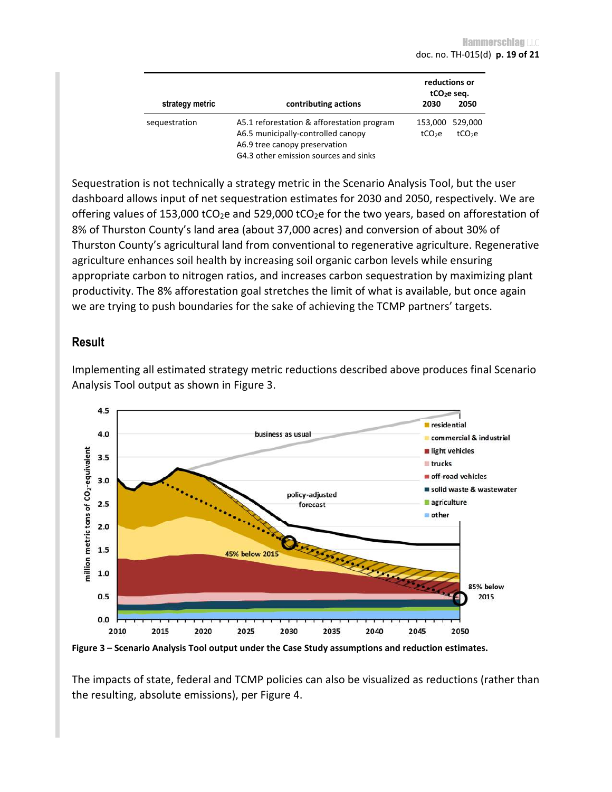|                 |                                                                                  |                               | reductions or<br>tCO <sub>2</sub> e seq. |
|-----------------|----------------------------------------------------------------------------------|-------------------------------|------------------------------------------|
| strategy metric | contributing actions                                                             | 2030                          | 2050                                     |
| sequestration   | A5.1 reforestation & afforestation program<br>A6.5 municipally-controlled canopy | 153,000<br>tCO <sub>2</sub> e | 529,000<br>tCO <sub>2</sub> e            |
|                 | A6.9 tree canopy preservation                                                    |                               |                                          |
|                 | G4.3 other emission sources and sinks                                            |                               |                                          |

Sequestration is not technically a strategy metric in the Scenario Analysis Tool, but the user dashboard allows input of net sequestration estimates for 2030 and 2050, respectively. We are offering values of 153,000 tCO<sub>2</sub>e and 529,000 tCO<sub>2</sub>e for the two years, based on afforestation of 8% of Thurston County's land area (about 37,000 acres) and conversion of about 30% of Thurston County's agricultural land from conventional to regenerative agriculture. Regenerative agriculture enhances soil health by increasing soil organic carbon levels while ensuring appropriate carbon to nitrogen ratios, and increases carbon sequestration by maximizing plant productivity. The 8% afforestation goal stretches the limit of what is available, but once again we are trying to push boundaries for the sake of achieving the TCMP partners' targets.

#### **Result**

Implementing all estimated strategy metric reductions described above produces final Scenario Analysis Tool output as shown in Figure 3.



**Figure 3 – Scenario Analysis Tool output under the Case Study assumptions and reduction estimates.** 

The impacts of state, federal and TCMP policies can also be visualized as reductions (rather than the resulting, absolute emissions), per Figure 4.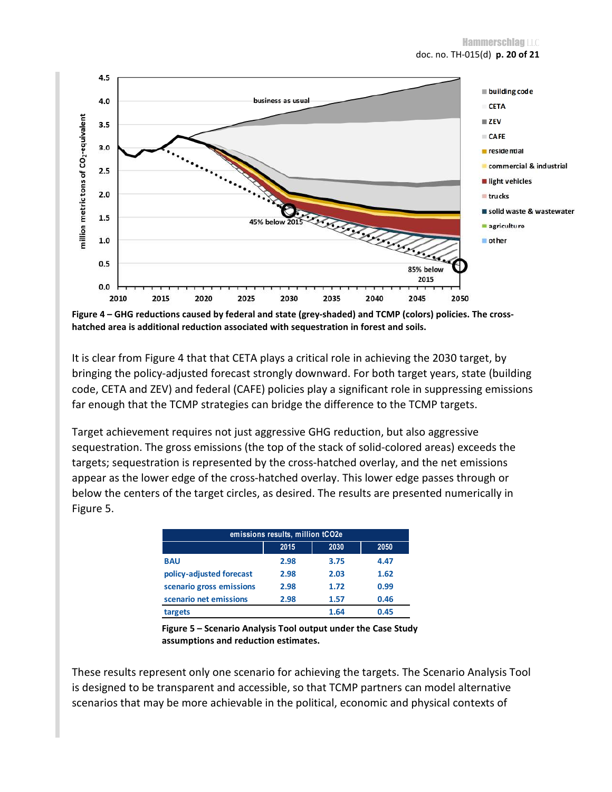

**Figure 4 – GHG reductions caused by federal and state (grey-shaded) and TCMP (colors) policies. The crosshatched area is additional reduction associated with sequestration in forest and soils.** 

It is clear from Figure 4 that that CETA plays a critical role in achieving the 2030 target, by bringing the policy-adjusted forecast strongly downward. For both target years, state (building code, CETA and ZEV) and federal (CAFE) policies play a significant role in suppressing emissions far enough that the TCMP strategies can bridge the difference to the TCMP targets.

Target achievement requires not just aggressive GHG reduction, but also aggressive sequestration. The gross emissions (the top of the stack of solid-colored areas) exceeds the targets; sequestration is represented by the cross-hatched overlay, and the net emissions appear as the lower edge of the cross-hatched overlay. This lower edge passes through or below the centers of the target circles, as desired. The results are presented numerically in Figure 5.

| emissions results, million tCO2e |      |      |      |
|----------------------------------|------|------|------|
|                                  | 2015 | 2030 | 2050 |
| <b>BAU</b>                       | 2.98 | 3.75 | 4.47 |
| policy-adjusted forecast         | 2.98 | 2.03 | 1.62 |
| scenario gross emissions         | 2.98 | 1.72 | 0.99 |
| scenario net emissions           | 2.98 | 1.57 | 0.46 |
| targets                          |      | 1.64 | 0.45 |

**Figure 5 – Scenario Analysis Tool output under the Case Study assumptions and reduction estimates.** 

These results represent only one scenario for achieving the targets. The Scenario Analysis Tool is designed to be transparent and accessible, so that TCMP partners can model alternative scenarios that may be more achievable in the political, economic and physical contexts of